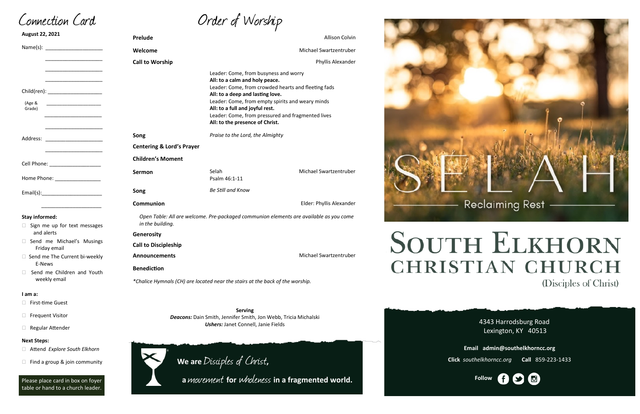Order of Worship

4343 Harrodsburg Road Lexington, KY 40513



**Email admin@southelkhorncc.org**

**Click** *southelkhorncc.org* **Call** 859-223-1433

| August 22, 2021                                                                                                                                                                                                               | Prelude                                                                                                    |                                                                                                                                                                                                                                       | Allison Colvin                                                                                           |
|-------------------------------------------------------------------------------------------------------------------------------------------------------------------------------------------------------------------------------|------------------------------------------------------------------------------------------------------------|---------------------------------------------------------------------------------------------------------------------------------------------------------------------------------------------------------------------------------------|----------------------------------------------------------------------------------------------------------|
|                                                                                                                                                                                                                               | Welcome                                                                                                    |                                                                                                                                                                                                                                       | Michael Swartzentruber                                                                                   |
|                                                                                                                                                                                                                               | <b>Call to Worship</b>                                                                                     |                                                                                                                                                                                                                                       | Phyllis Alexander                                                                                        |
| Child(ren): _______________________<br>(Age &<br><u> 1989 - Johann Barn, mars eta bainar eta i</u><br>Grade)                                                                                                                  |                                                                                                            | Leader: Come, from busyness and worry<br>All: to a calm and holy peace.<br>All: to a deep and lasting love.<br>Leader: Come, from empty spirits and weary minds<br>All: to a full and joyful rest.<br>All: to the presence of Christ. | Leader: Come, from crowded hearts and fleeting fads<br>Leader: Come, from pressured and fragmented lives |
| Address:<br><u> 1990 - Johann Barn, mars eta ba</u>                                                                                                                                                                           | Song                                                                                                       | Praise to the Lord, the Almighty                                                                                                                                                                                                      |                                                                                                          |
|                                                                                                                                                                                                                               | <b>Centering &amp; Lord's Prayer</b>                                                                       |                                                                                                                                                                                                                                       |                                                                                                          |
| Cell Phone: ___________________                                                                                                                                                                                               | <b>Children's Moment</b>                                                                                   |                                                                                                                                                                                                                                       |                                                                                                          |
| Home Phone: _________________                                                                                                                                                                                                 | Sermon                                                                                                     | Selah<br>Psalm 46:1-11                                                                                                                                                                                                                | Michael Swartzentruber                                                                                   |
| Email(s): Email and the set of the set of the set of the set of the set of the set of the set of the set of the set of the set of the set of the set of the set of the set of the set of the set of the set of the set of the | Song                                                                                                       | <b>Be Still and Know</b>                                                                                                                                                                                                              |                                                                                                          |
|                                                                                                                                                                                                                               | Communion                                                                                                  |                                                                                                                                                                                                                                       | Elder: Phyllis Alexander                                                                                 |
| <b>Stay informed:</b><br>$\Box$ Sign me up for text messages                                                                                                                                                                  | Open Table: All are welcome. Pre-packaged communion elements are available as you come<br>in the building. |                                                                                                                                                                                                                                       |                                                                                                          |
| and alerts                                                                                                                                                                                                                    | Generosity                                                                                                 |                                                                                                                                                                                                                                       |                                                                                                          |
| Send me Michael's Musings<br>Friday email                                                                                                                                                                                     | <b>Call to Discipleship</b>                                                                                |                                                                                                                                                                                                                                       |                                                                                                          |
| □ Send me The Current bi-weekly                                                                                                                                                                                               | <b>Announcements</b>                                                                                       |                                                                                                                                                                                                                                       | Michael Swartzentruber                                                                                   |
| E-News<br>Send me Children and Youth<br>п                                                                                                                                                                                     | <b>Benediction</b>                                                                                         |                                                                                                                                                                                                                                       |                                                                                                          |
| weekly email                                                                                                                                                                                                                  | *Chalice Hymnals (CH) are located near the stairs at the back of the worship.                              |                                                                                                                                                                                                                                       |                                                                                                          |
| I am a:                                                                                                                                                                                                                       |                                                                                                            |                                                                                                                                                                                                                                       |                                                                                                          |
| <b>First-time Guest</b>                                                                                                                                                                                                       |                                                                                                            |                                                                                                                                                                                                                                       |                                                                                                          |
| <b>Frequent Visitor</b><br>⊔                                                                                                                                                                                                  | <b>Serving</b><br><b>Deacons:</b> Dain Smith, Jennifer Smith, Jon Webb, Tricia Michalski                   |                                                                                                                                                                                                                                       |                                                                                                          |
| Regular Attender<br>Ц                                                                                                                                                                                                         | <b>Ushers: Janet Connell, Janie Fields</b>                                                                 |                                                                                                                                                                                                                                       |                                                                                                          |
| <b>Next Steps:</b>                                                                                                                                                                                                            |                                                                                                            |                                                                                                                                                                                                                                       |                                                                                                          |
| □ Attend Explore South Elkhorn                                                                                                                                                                                                |                                                                                                            |                                                                                                                                                                                                                                       |                                                                                                          |



Connection Card

Please place card in box on foyer table or hand to a church leader.

 $\Box$  Find a group & join community

**We are** Disciples of Christ**,** 



# **SOUTH ELKHORN CHRISTIAN CHURCH** (Disciples of Christ)

 **<sup>a</sup>**movement **for** wholeness **in a fragmented world.**